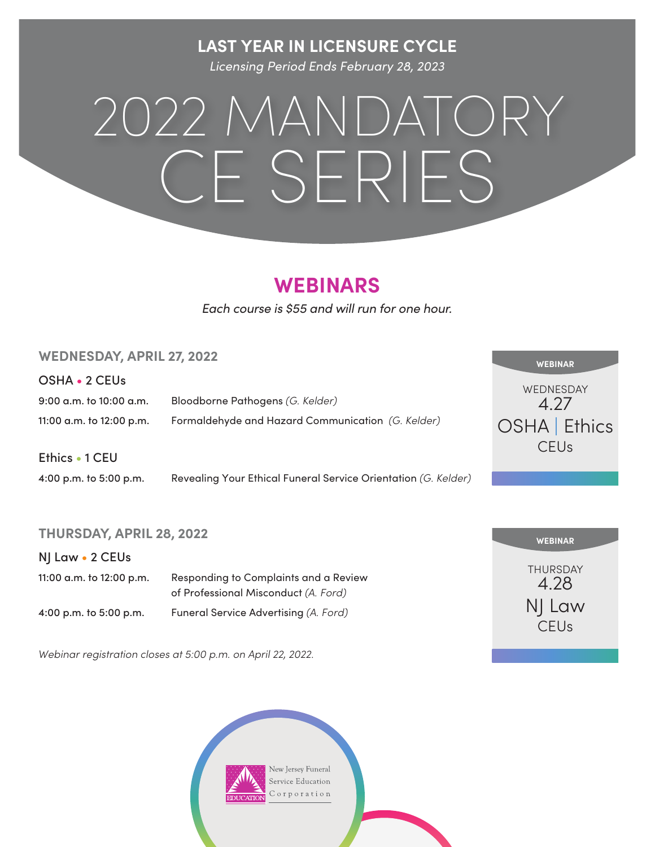#### **LAST YEAR IN LICENSURE CYCLE**

*Licensing Period Ends February 28, 2023*

# 2022 MANDATORY CE SERIES

### **WEBINARS**

*Each course is \$55 and will run for one hour.*

#### **WEDNESDAY, APRIL 27, 2022**

OSHA • 2 CEUs

9:00 a.m. to 10:00 a.m. Bloodborne Pathogens *(G. Kelder)* 11:00 a.m. to 12:00 p.m. Formaldehyde and Hazard Communication *(G. Kelder)*

Ethics • 1 CEU

4:00 p.m. to 5:00 p.m. Revealing Your Ethical Funeral Service Orientation *(G. Kelder)*

#### **THURSDAY, APRIL 28, 2022**

NJ Law • 2 CEUs

| 11:00 a.m. to 12:00 p.m. | Responding to Complaints and a Review<br>of Professional Misconduct (A. Ford) |
|--------------------------|-------------------------------------------------------------------------------|
| 4:00 p.m. to 5:00 p.m.   | Funeral Service Advertising (A. Ford)                                         |

*Webinar registration closes at 5:00 p.m. on April 22, 2022.* 





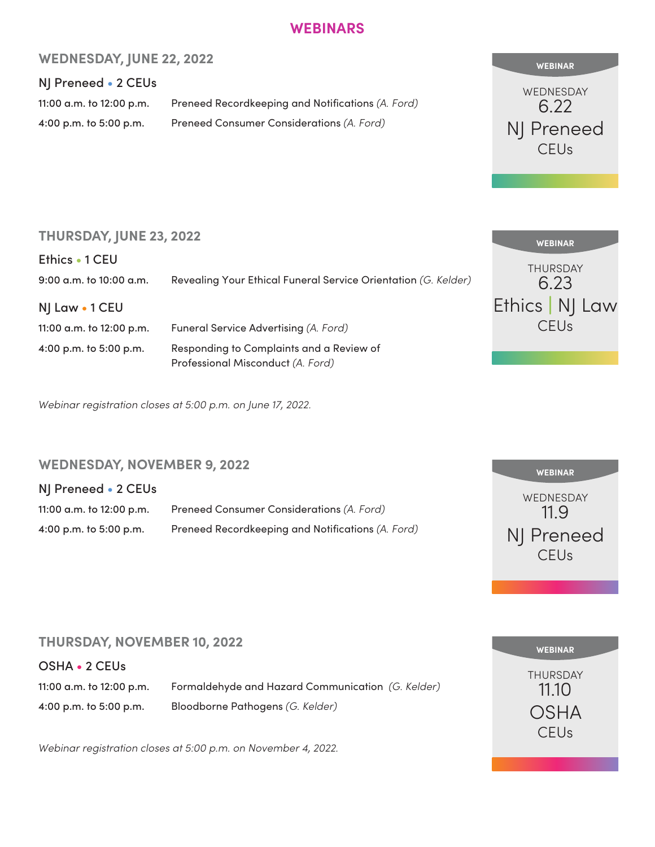#### **WEBINARS**

#### **WEDNESDAY, JUNE 22, 2022**

#### NJ Preneed • 2 CEUs

11:00 a.m. to 12:00 p.m. Preneed Recordkeeping and Notifications *(A. Ford)* 4:00 p.m. to 5:00 p.m. Preneed Consumer Considerations *(A. Ford)*



THURSDAY 6.23

**WEBINAR** 

Ethics | NJ Law CEUs

#### **THURSDAY, JUNE 23, 2022**

Ethics • 1 CEU 9:00 a.m. to 10:00 a.m. Revealing Your Ethical Funeral Service Orientation *(G. Kelder)*

NJ Law • 1 CEU

11:00 a.m. to 12:00 p.m. 4:00 p.m. to 5:00 p.m.

| Funeral Service Advertising (A. Ford)    |  |
|------------------------------------------|--|
| Responding to Complaints and a Review of |  |
| Professional Misconduct (A. Ford)        |  |

*Webinar registration closes at 5:00 p.m. on June 17, 2022.* 

#### **WEDNESDAY, NOVEMBER 9, 2022**

#### NJ Preneed • 2 CEUs

| 11:00 a.m. to 12:00 p.m. | Preneed Consumer Considerations (A. Ford)         |
|--------------------------|---------------------------------------------------|
| 4:00 p.m. to 5:00 p.m.   | Preneed Recordkeeping and Notifications (A. Ford) |



#### **THURSDAY, NOVEMBER 10, 2022**

OSHA • 2 CEUs

11:00 a.m. to 12:00 p.m. Formaldehyde and Hazard Communication *(G. Kelder)* 4:00 p.m. to 5:00 p.m. Bloodborne Pathogens *(G. Kelder)*

*Webinar registration closes at 5:00 p.m. on November 4, 2022.*